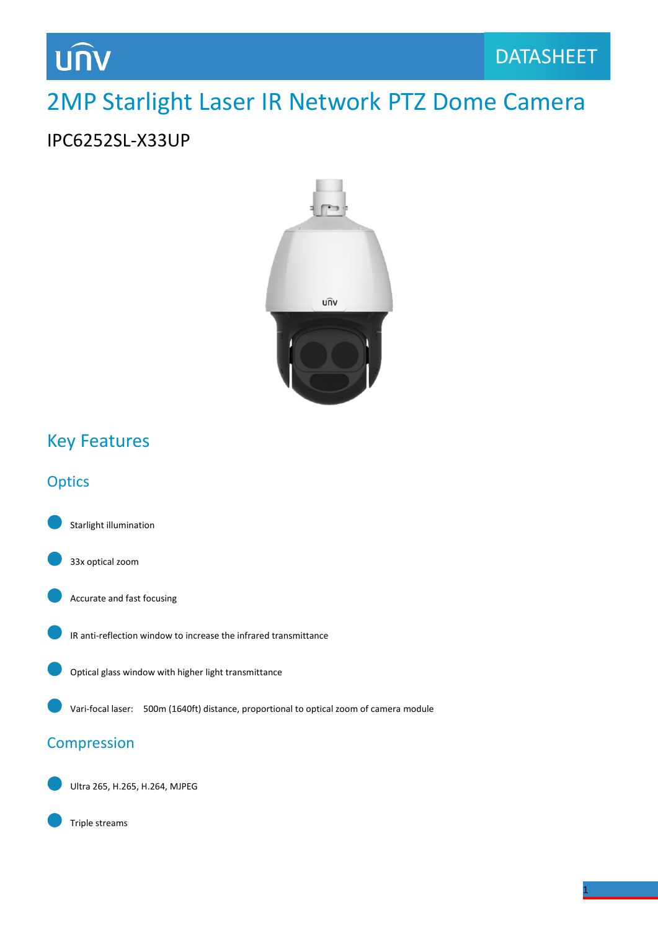# **UNV**

## 2MP Starlight Laser IR Network PTZ Dome Camera

### IPC6252SL-X33UP



### Key Features

### **Optics**

Starlight illumination



Accurate and fast focusing





Vari-focal laser: 500m (1640ft) distance, proportional to optical zoom of camera module

#### Compression

Ultra 265, H.265, H.264, MJPEG



1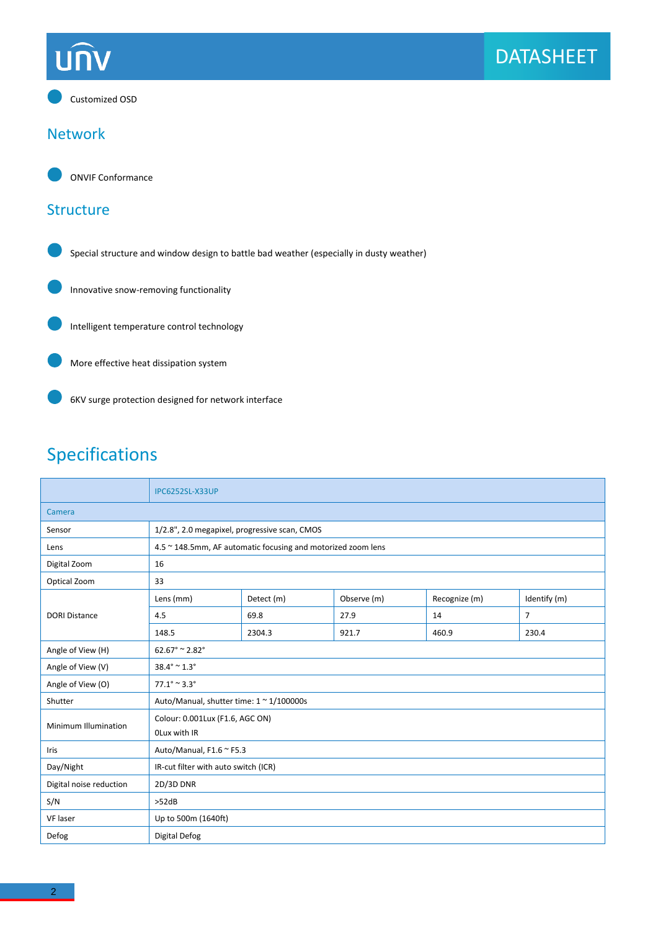# **UNV**



#### Network



#### **Structure**





Intelligent temperature control technology

More effective heat dissipation system



6KV surge protection designed for network interface

## Specifications

|                         | <b>IPC6252SL-X33UP</b>                                       |            |             |               |                |  |
|-------------------------|--------------------------------------------------------------|------------|-------------|---------------|----------------|--|
| Camera                  |                                                              |            |             |               |                |  |
| Sensor                  | 1/2.8", 2.0 megapixel, progressive scan, CMOS                |            |             |               |                |  |
| Lens                    | 4.5 ~ 148.5mm, AF automatic focusing and motorized zoom lens |            |             |               |                |  |
| Digital Zoom            | 16                                                           |            |             |               |                |  |
| Optical Zoom            | 33                                                           |            |             |               |                |  |
| <b>DORI Distance</b>    | Lens (mm)                                                    | Detect (m) | Observe (m) | Recognize (m) | Identify (m)   |  |
|                         | 4.5                                                          | 69.8       | 27.9        | 14            | $\overline{7}$ |  |
|                         | 148.5                                                        | 2304.3     | 921.7       | 460.9         | 230.4          |  |
| Angle of View (H)       | $62.67^{\circ} \approx 2.82^{\circ}$                         |            |             |               |                |  |
| Angle of View (V)       | $38.4^{\circ} \approx 1.3^{\circ}$                           |            |             |               |                |  |
| Angle of View (O)       | $77.1^{\circ} \approx 3.3^{\circ}$                           |            |             |               |                |  |
| Shutter                 | Auto/Manual, shutter time: 1 ~ 1/100000s                     |            |             |               |                |  |
| Minimum Illumination    | Colour: 0.001Lux (F1.6, AGC ON)                              |            |             |               |                |  |
|                         | OLux with IR                                                 |            |             |               |                |  |
| Iris                    | Auto/Manual, F1.6 ~ F5.3                                     |            |             |               |                |  |
| Day/Night               | IR-cut filter with auto switch (ICR)                         |            |             |               |                |  |
| Digital noise reduction | 2D/3D DNR                                                    |            |             |               |                |  |
| S/N                     | >52dB                                                        |            |             |               |                |  |
| VF laser                | Up to 500m (1640ft)                                          |            |             |               |                |  |
| Defog                   | Digital Defog                                                |            |             |               |                |  |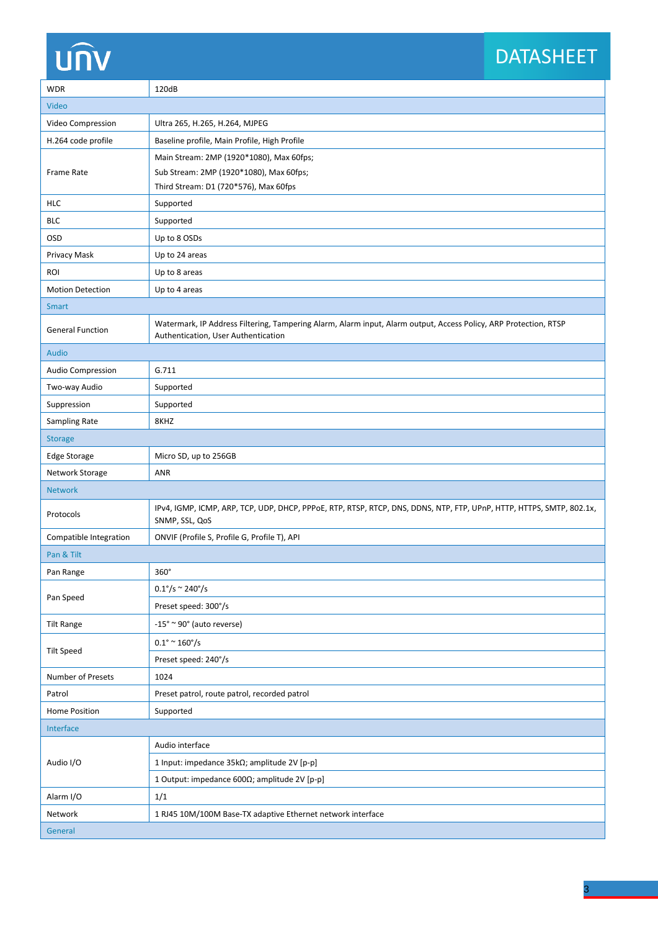# unv

## DATASHEET

| <b>WDR</b>              | 120dB                                                                                                                                                   |  |  |  |
|-------------------------|---------------------------------------------------------------------------------------------------------------------------------------------------------|--|--|--|
| Video                   |                                                                                                                                                         |  |  |  |
| Video Compression       | Ultra 265, H.265, H.264, MJPEG                                                                                                                          |  |  |  |
| H.264 code profile      | Baseline profile, Main Profile, High Profile                                                                                                            |  |  |  |
| Frame Rate              | Main Stream: 2MP (1920*1080), Max 60fps;                                                                                                                |  |  |  |
|                         | Sub Stream: 2MP (1920*1080), Max 60fps;                                                                                                                 |  |  |  |
|                         | Third Stream: D1 (720*576), Max 60fps                                                                                                                   |  |  |  |
| HLC                     | Supported                                                                                                                                               |  |  |  |
| <b>BLC</b>              | Supported                                                                                                                                               |  |  |  |
| <b>OSD</b>              | Up to 8 OSDs                                                                                                                                            |  |  |  |
| Privacy Mask            | Up to 24 areas                                                                                                                                          |  |  |  |
| ROI                     | Up to 8 areas                                                                                                                                           |  |  |  |
| <b>Motion Detection</b> | Up to 4 areas                                                                                                                                           |  |  |  |
| Smart                   |                                                                                                                                                         |  |  |  |
| <b>General Function</b> | Watermark, IP Address Filtering, Tampering Alarm, Alarm input, Alarm output, Access Policy, ARP Protection, RTSP<br>Authentication, User Authentication |  |  |  |
| Audio                   |                                                                                                                                                         |  |  |  |
| Audio Compression       | G.711                                                                                                                                                   |  |  |  |
| Two-way Audio           | Supported                                                                                                                                               |  |  |  |
| Suppression             | Supported                                                                                                                                               |  |  |  |
| <b>Sampling Rate</b>    | 8KHZ                                                                                                                                                    |  |  |  |
| <b>Storage</b>          |                                                                                                                                                         |  |  |  |
| Edge Storage            | Micro SD, up to 256GB                                                                                                                                   |  |  |  |
| Network Storage         | ANR                                                                                                                                                     |  |  |  |
| <b>Network</b>          |                                                                                                                                                         |  |  |  |
| Protocols               | IPv4, IGMP, ICMP, ARP, TCP, UDP, DHCP, PPPoE, RTP, RTSP, RTCP, DNS, DDNS, NTP, FTP, UPnP, HTTP, HTTPS, SMTP, 802.1x,<br>SNMP, SSL, QoS                  |  |  |  |
| Compatible Integration  | ONVIF (Profile S, Profile G, Profile T), API                                                                                                            |  |  |  |
| Pan & Tilt              |                                                                                                                                                         |  |  |  |
| Pan Range               | 360°                                                                                                                                                    |  |  |  |
|                         | $0.1^{\circ}/s \approx 240^{\circ}/s$                                                                                                                   |  |  |  |
| Pan Speed               | Preset speed: 300°/s                                                                                                                                    |  |  |  |
| <b>Tilt Range</b>       | $-15^\circ \approx 90^\circ$ (auto reverse)                                                                                                             |  |  |  |
| <b>Tilt Speed</b>       | $0.1^{\circ} \sim 160^{\circ}/s$                                                                                                                        |  |  |  |
|                         | Preset speed: 240°/s                                                                                                                                    |  |  |  |
| Number of Presets       | 1024                                                                                                                                                    |  |  |  |
| Patrol                  | Preset patrol, route patrol, recorded patrol                                                                                                            |  |  |  |
| Home Position           | Supported                                                                                                                                               |  |  |  |
| Interface               |                                                                                                                                                         |  |  |  |
| Audio I/O               | Audio interface                                                                                                                                         |  |  |  |
|                         | 1 Input: impedance 35kΩ; amplitude 2V [p-p]                                                                                                             |  |  |  |
|                         | 1 Output: impedance 600Ω; amplitude 2V [p-p]                                                                                                            |  |  |  |
| Alarm I/O               | 1/1                                                                                                                                                     |  |  |  |
| Network                 | 1 RJ45 10M/100M Base-TX adaptive Ethernet network interface                                                                                             |  |  |  |
| General                 |                                                                                                                                                         |  |  |  |